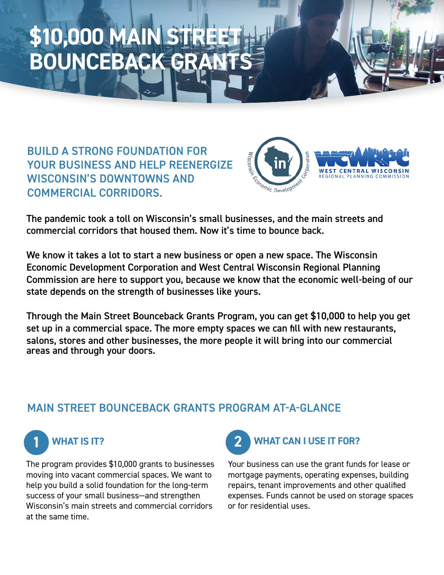## \$10,000 MAIN **BOUNCEBACK GR**

BUILD A STRONG FOUNDATION FOR YOUR BUSINESS AND HELP REENERGIZE WISCONSIN'S DOWNTOWNS AND COMMERCIAL CORRIDORS.



The pandemic took a toll on Wisconsin's small businesses, and the main streets and commercial corridors that housed them. Now it's time to bounce back.

We know it takes a lot to start a new business or open a new space. The Wisconsin Economic Development Corporation and West Central Wisconsin Regional Planning Commission are here to support you, because we know that the economic well-being of our state depends on the strength of businesses like yours.

Through the Main Street Bounceback Grants Program, you can get \$10,000 to help you get set up in a commercial space. The more empty spaces we can fill with new restaurants, salons, stores and other businesses, the more people it will bring into our commercial areas and through your doors.

## MAIN STREET BOUNCEBACK GRANTS PROGRAM AT-A-GLANCE



The program provides \$10,000 grants to businesses moving into vacant commercial spaces. We want to help you build a solid foundation for the long-term success of your small business—and strengthen Wisconsin's main streets and commercial corridors at the same time.



Your business can use the grant funds for lease or mortgage payments, operating expenses, building repairs, tenant improvements and other qualified expenses. Funds cannot be used on storage spaces or for residential uses.